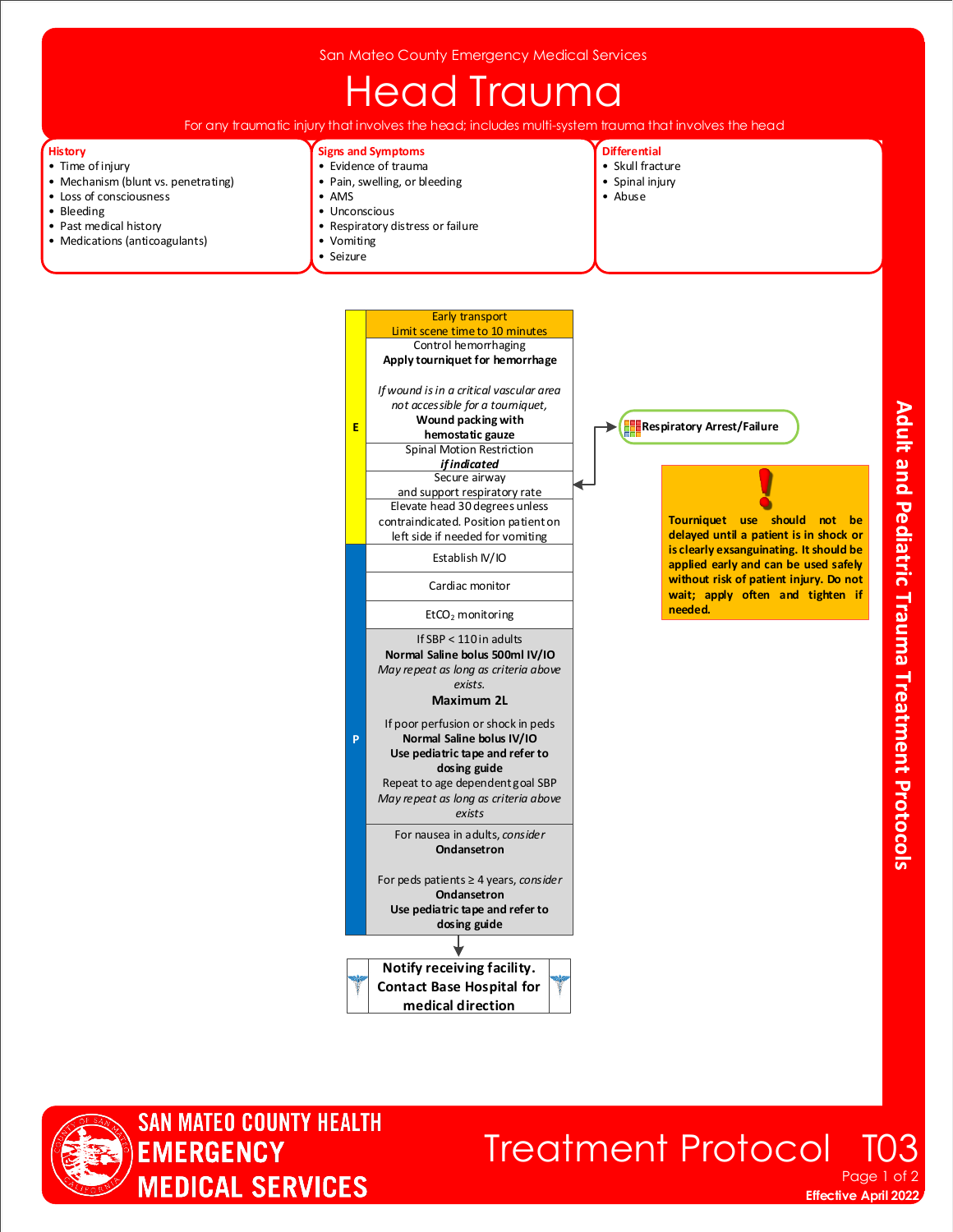## **Head Trauma**

For any traumatic injury that involves the head; includes multi-system trauma that involves the head

Early transport

#### **History**

- Time of injury
- Mechanism (blunt vs. penetrating)
- Loss of consciousness
- Bleeding
- Past medical history • Medications (anticoagulants)
- 

#### **Signs and Symptoms**

- Evidence of trauma
- Pain, swelling, or bleeding • AMS
- Unconscious
- Respiratory distress or failure
- Vomiting

**E**

**P**

• Seizure

- **Differential**
- Skull fracture
- Spinal injury
- Abuse
- Spinal Motion Restriction *if indicated* Secure airway and support respiratory rate Elevate head 30 degrees unless contraindicated. Position patient on left side if needed for vomiting Cardiac monitor EtCO<sub>2</sub> monitoring Establish IV/IO If SBP < 110 in adults **Normal Saline bolus 500ml IV/IO** *May repeat as long as criteria above exists.*  **Maximum 2L** If poor perfusion or shock in peds **Normal Saline bolus IV/IO Use pediatric tape and refer to dosing guide** Repeat to age dependent goal SBP *May repeat as long as criteria above*  Limit scene time to 10 minutes Control hemorrhaging **Apply tourniquet for hemorrhage** *If wound is in a critical vascular area not accessible for a tourniquet,* **Wound packing with hemostatic gauze**

*exists* For nausea in adults, *consider*

**Ondansetron**

For peds patients ≥ 4 years, *consider* **Ondansetron Use pediatric tape and refer to dosing guide**



**Respiratory Arrest/Failure**

**Tourniquet use should not be delayed until a patient is in shock or is clearly exsanguinating. It should be applied early and can be used safely without risk of patient injury. Do not wait; apply often and tighten if needed.**



### **Effective April 2022 Treatment Protocol** Page 1 of